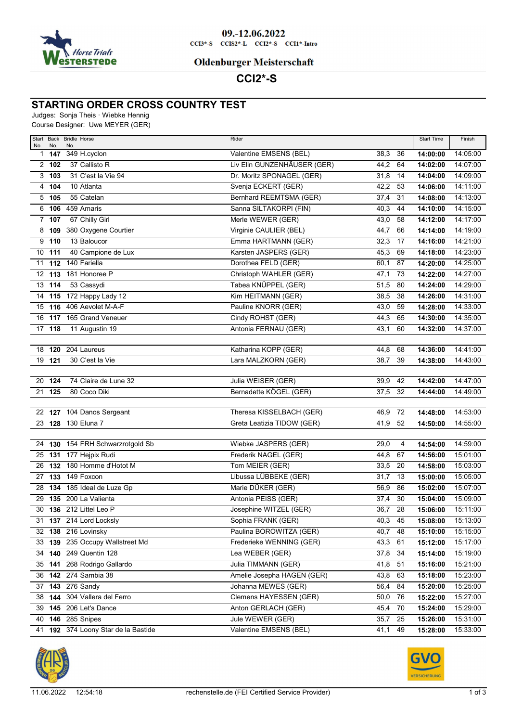

## **Oldenburger Meisterschaft**

**CCI2\*-S** 

# **STARTING ORDER CROSS COUNTRY TEST**

Judges: Sonja Theis · Wiebke Hennig

Course Designer: Uwe MEYER (GER)

| No. | No.      | Start Back Bridle Horse<br>No.      | Rider                          |           |    | <b>Start Time</b> | Finish   |
|-----|----------|-------------------------------------|--------------------------------|-----------|----|-------------------|----------|
|     | 1 147    | 349 H.cyclon                        | Valentine EMSENS (BEL)         | 38,3      | 36 | 14:00:00          | 14:05:00 |
|     | 2, 102   | 37 Callisto R                       | Liv Elin GUNZENHÄUSER (GER)    | 44,2      | 64 | 14:02:00          | 14:07:00 |
|     | 3, 103   | 31 C'est la Vie 94                  | Dr. Moritz SPONAGEL (GER)      | 31,8      | 14 | 14:04:00          | 14:09:00 |
|     | 4 104    | 10 Atlanta                          | Svenja ECKERT (GER)            | 42,2      | 53 | 14:06:00          | 14:11:00 |
|     | $5$ 105  | 55 Catelan                          | <b>Bernhard REEMTSMA (GER)</b> | 37,4      | 31 | 14:08:00          | 14:13:00 |
|     |          | 6 106 459 Amaris                    | Sanna SILTAKORPI (FIN)         | 40,3      | 44 | 14:10:00          | 14:15:00 |
|     | $7$ 107  | 67 Chilly Girl                      | Merle WEWER (GER)              | 43,0      | 58 | 14:12:00          | 14:17:00 |
|     | $8$ 109  | 380 Oxygene Courtier                | Virginie CAULIER (BEL)         | 44,7      | 66 | 14:14:00          | 14:19:00 |
|     | $9$ 110  | 13 Baloucor                         | Emma HARTMANN (GER)            | 32,3      | 17 | 14:16:00          | 14:21:00 |
|     | $10$ 111 | 40 Campione de Lux                  | Karsten JASPERS (GER)          | 45,3      | 69 | 14:18:00          | 14:23:00 |
|     | $11$ 112 | 140 Fariella                        | Dorothea FELD (GER)            | 60,1      | 87 | 14:20:00          | 14:25:00 |
|     |          | 12 113 181 Honoree P                | Christoph WAHLER (GER)         | 47,1      | 73 | 14:22:00          | 14:27:00 |
|     | 13 114   | 53 Cassydi                          | Tabea KNÜPPEL (GER)            | 51,5      | 80 | 14:24:00          | 14:29:00 |
|     |          | 14 115 172 Happy Lady 12            | Kim HEITMANN (GER)             | 38,5      | 38 | 14:26:00          | 14:31:00 |
|     |          | 15 116 406 Aevolet M-A-F            | Pauline KNORR (GER)            | 43,0      | 59 | 14:28:00          | 14:33:00 |
|     |          | 16 117 165 Grand Veneuer            | Cindy ROHST (GER)              | 44,3      | 65 | 14:30:00          | 14:35:00 |
|     | 17 118   | 11 Augustin 19                      | Antonia FERNAU (GER)           | 43,1      | 60 | 14:32:00          | 14:37:00 |
|     |          |                                     |                                |           |    |                   |          |
|     |          | 18 120 204 Laureus                  | Katharina KOPP (GER)           | 44,8      | 68 | 14:36:00          | 14:41:00 |
|     | 19 121   | 30 C'est la Vie                     | Lara MALZKORN (GER)            | 38,7      | 39 | 14:38:00          | 14:43:00 |
|     |          |                                     |                                |           |    | 14:42:00          | 14:47:00 |
|     | 20 124   | 74 Claire de Lune 32                | Julia WEISER (GER)             | 39,9      | 42 |                   |          |
| 21  | 125      | 80 Coco Diki                        | Bernadette KÖGEL (GER)         | 37,5      | 32 | 14:44:00          | 14:49:00 |
|     |          | 22 127 104 Danos Sergeant           | Theresa KISSELBACH (GER)       | 46,9      | 72 | 14:48:00          | 14:53:00 |
|     |          | 23 128 130 Eluna 7                  | Greta Leatizia TIDOW (GER)     | 41,9      | 52 | 14:50:00          | 14:55:00 |
|     |          |                                     |                                |           |    |                   |          |
| 24  |          | 130 154 FRH Schwarzrotgold Sb       | Wiebke JASPERS (GER)           | 29,0      | 4  | 14:54:00          | 14:59:00 |
|     |          | 25 131 177 Hejpix Rudi              | Frederik NAGEL (GER)           | 44,8      | 67 | 14:56:00          | 15:01:00 |
| 26  |          | 132 180 Homme d'Hotot M             | Tom MEIER (GER)                | 33,5      | 20 | 14:58:00          | 15:03:00 |
|     |          | 27 133 149 Foxcon                   | Libussa LÜBBEKE (GER)          | 31,7      | 13 | 15:00:00          | 15:05:00 |
|     |          | 28 134 185 Ideal de Luze Gp         | Marie DÜKER (GER)              | 56,9      | 86 | 15:02:00          | 15:07:00 |
|     |          | 29 135 200 La Valienta              | Antonia PEISS (GER)            | 37,4      | 30 | 15:04:00          | 15:09:00 |
| 30  |          | 136 212 Littel Leo P                | Josephine WITZEL (GER)         | 36,7      | 28 | 15:06:00          | 15:11:00 |
|     |          | 31 137 214 Lord Locksly             | Sophia FRANK (GER)             | $40,3$ 45 |    | 15:08:00          | 15:13:00 |
|     |          | 32 138 216 Lovinsky                 | Paulina BOROWITZA (GER)        | 40,7 48   |    | 15:10:00          | 15:15:00 |
|     |          | 33 139 235 Occupy Wallstreet Md     | Frederieke WENNING (GER)       | 43,3 61   |    | 15:12:00          | 15:17:00 |
|     |          | 34 140 249 Quentin 128              | Lea WEBER (GER)                | 37,8 34   |    | 15:14:00          | 15:19:00 |
|     |          | 35 141 268 Rodrigo Gallardo         | Julia TIMMANN (GER)            | 41,8 51   |    | 15:16:00          | 15:21:00 |
|     |          | 36 142 274 Sambia 38                | Amelie Josepha HAGEN (GER)     | 43,8 63   |    | 15:18:00          | 15:23:00 |
|     |          | 37 143 276 Sandy                    | Johanna MEWES (GER)            | 56,4 84   |    | 15:20:00          | 15:25:00 |
|     |          | 38 144 304 Vallera del Ferro        | Clemens HAYESSEN (GER)         | 50,0 76   |    | 15:22:00          | 15:27:00 |
|     |          | 39 145 206 Let's Dance              | Anton GERLACH (GER)            | 45,4      | 70 | 15:24:00          | 15:29:00 |
|     |          | 40 146 285 Snipes                   | Jule WEWER (GER)               | 35,7 25   |    | 15:26:00          | 15:31:00 |
|     |          | 41 192 374 Loony Star de la Bastide | Valentine EMSENS (BEL)         | 41,1 49   |    | 15:28:00          | 15:33:00 |

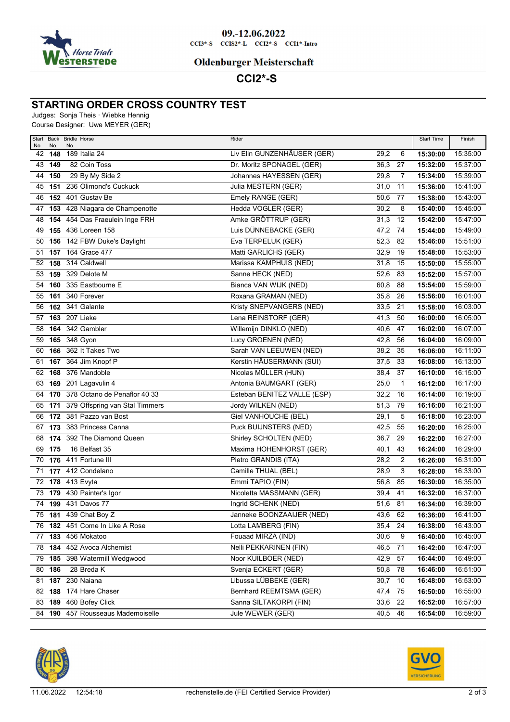

## **Oldenburger Meisterschaft**

**CCI2\*-S** 

## **STARTING ORDER CROSS COUNTRY TEST**

Judges: Sonja Theis · Wiebke Hennig

Course Designer: Uwe MEYER (GER)

| No. | No.    | Start Back Bridle Horse<br>No.    | Rider                       |         |                | <b>Start Time</b> | Finish   |
|-----|--------|-----------------------------------|-----------------------------|---------|----------------|-------------------|----------|
|     | 42 148 | 189 Italia 24                     | Liv Elin GUNZENHÄUSER (GER) | 29,2    | 6              | 15:30:00          | 15:35:00 |
|     | 43 149 | 82 Coin Toss                      | Dr. Moritz SPONAGEL (GER)   | 36,3    | 27             | 15:32:00          | 15:37:00 |
| 44  | 150    | 29 By My Side 2                   | Johannes HAYESSEN (GER)     | 29,8    | 7              | 15:34:00          | 15:39:00 |
| 45  | 151    | 236 Olimond's Cuckuck             | Julia MESTERN (GER)         | 31,0    | 11             | 15:36:00          | 15:41:00 |
| 46  | 152    | 401 Gustav Be                     | Emely RANGE (GER)           | 50,6    | 77             | 15:38:00          | 15:43:00 |
| 47  |        | 153 428 Niagara de Champenotte    | Hedda VOGLER (GER)          | 30,2    | 8              | 15:40:00          | 15:45:00 |
| 48  | 154    | 454 Das Fraeulein Inge FRH        | Amke GRÖTTRUP (GER)         | 31,3    | 12             | 15:42:00          | 15:47:00 |
| 49  |        | 155 436 Loreen 158                | Luis DÜNNEBACKE (GER)       | 47,2    | 74             | 15:44:00          | 15:49:00 |
| 50  |        | 156 142 FBW Duke's Daylight       | Eva TERPELUK (GER)          | 52,3    | 82             | 15:46:00          | 15:51:00 |
| 51  | 157    | 164 Grace 477                     | Matti GARLICHS (GER)        | 32,9    | 19             | 15:48:00          | 15:53:00 |
| 52  | 158    | 314 Caldwell                      | Marissa KAMPHUIS (NED)      | 31,8    | 15             | 15:50:00          | 15:55:00 |
| 53  | 159    | 329 Delote M                      | Sanne HECK (NED)            | 52,6    | 83             | 15:52:00          | 15:57:00 |
| 54  | 160    | 335 Eastbourne E                  | Bianca VAN WIJK (NED)       | 60,8    | 88             | 15:54:00          | 15:59:00 |
| 55  |        | 161 340 Forever                   | Roxana GRAMAN (NED)         | 35,8    | 26             | 15:56:00          | 16:01:00 |
| 56  |        | <b>162</b> 341 Galante            | Kristy SNEPVANGERS (NED)    | 33,5    | 21             | 15:58:00          | 16:03:00 |
| 57  |        | <b>163</b> 207 Lieke              | Lena REINSTORF (GER)        | 41,3    | 50             | 16:00:00          | 16:05:00 |
| 58  |        | <b>164</b> 342 Gambler            | Willemijn DINKLO (NED)      | 40,6    | 47             | 16:02:00          | 16:07:00 |
| 59  |        | 165 348 Gyon                      | Lucy GROENEN (NED)          | 42,8    | 56             | 16:04:00          | 16:09:00 |
| 60  | 166    | 362 It Takes Two                  | Sarah VAN LEEUWEN (NED)     | 38,2    | 35             | 16:06:00          | 16:11:00 |
| 61  | 167    | 364 Jim Knopf P                   | Kerstin HÄUSERMANN (SUI)    | 37,5    | 33             | 16:08:00          | 16:13:00 |
| 62  |        | 168 376 Mandoble                  | Nicolas MÜLLER (HUN)        | 38,4    | 37             | 16:10:00          | 16:15:00 |
| 63  |        | 169 201 Lagavulin 4               | Antonia BAUMGART (GER)      | 25,0    | $\mathbf{1}$   | 16:12:00          | 16:17:00 |
| 64  | 170    | 378 Octano de Penaflor 40 33      | Esteban BENITEZ VALLE (ESP) | 32,2    | 16             | 16:14:00          | 16:19:00 |
| 65  | 171    | 379 Offspring van Stal Timmers    | Jordy WILKEN (NED)          | 51,3    | 79             | 16:16:00          | 16:21:00 |
| 66  |        | 172 381 Pazzo van Bost            | Giel VANHOUCHE (BEL)        | 29,1    | 5              | 16:18:00          | 16:23:00 |
| 67  |        | 173 383 Princess Canna            | Puck BUIJNSTERS (NED)       | 42,5    | 55             | 16:20:00          | 16:25:00 |
| 68  | 174    | 392 The Diamond Queen             | Shirley SCHOLTEN (NED)      | 36,7    | 29             | 16:22:00          | 16:27:00 |
| 69  | 175    | 16 Belfast 35                     | Maxima HOHENHORST (GER)     | 40,1    | 43             | 16:24:00          | 16:29:00 |
| 70  |        | 176 411 Fortune III               | Pietro GRANDIS (ITA)        | 28,2    | $\overline{2}$ | 16:26:00          | 16:31:00 |
| 71  |        | 177 412 Condelano                 | Camille THUAL (BEL)         | 28,9    | 3              | 16:28:00          | 16:33:00 |
|     |        | 72 178 413 Evyta                  | Emmi TAPIO (FIN)            | 56,8    | 85             | 16:30:00          | 16:35:00 |
|     |        | 73 179 430 Painter's Igor         | Nicoletta MASSMANN (GER)    | 39,4    | 41             | 16:32:00          | 16:37:00 |
| 74  |        | 199 431 Davos 77                  | Ingrid SCHENK (NED)         | 51,6    | 81             | 16:34:00          | 16:39:00 |
|     |        | 75 181 439 Chat Boy Z             | Janneke BOONZAAIJER (NED)   | 43,6    | 62             | 16:36:00          | 16:41:00 |
|     |        | 76 182 451 Come In Like A Rose    | Lotta LAMBERG (FIN)         | 35,4 24 |                | 16:38:00          | 16:43:00 |
|     | 77 183 | 456 Mokatoo                       | Fouaad MIRZA (IND)          | 30,6    | 9              | 16:40:00          | 16:45:00 |
|     |        | 78 184 452 Avoca Alchemist        | Nelli PEKKARINEN (FIN)      | 46,5    | 71             | 16:42:00          | 16:47:00 |
|     |        | 79 185 398 Watermill Wedgwood     | Noor KUILBOER (NED)         | 42,9    | 57             | 16:44:00          | 16:49:00 |
|     | 80 186 | 28 Breda K                        | Svenja ECKERT (GER)         | 50,8    | 78             | 16:46:00          | 16:51:00 |
|     |        | 81 187 230 Naiana                 | Libussa LÜBBEKE (GER)       | 30,7    | 10             | 16:48:00          | 16:53:00 |
|     | 82 188 | 174 Hare Chaser                   | Bernhard REEMTSMA (GER)     | 47,4    | 75             | 16:50:00          | 16:55:00 |
|     |        | 83 189 460 Bofey Click            | Sanna SILTAKORPI (FIN)      | 33,6    | 22             | 16:52:00          | 16:57:00 |
|     |        | 84 190 457 Rousseaus Mademoiselle | Jule WEWER (GER)            | 40,5 46 |                | 16:54:00          | 16:59:00 |